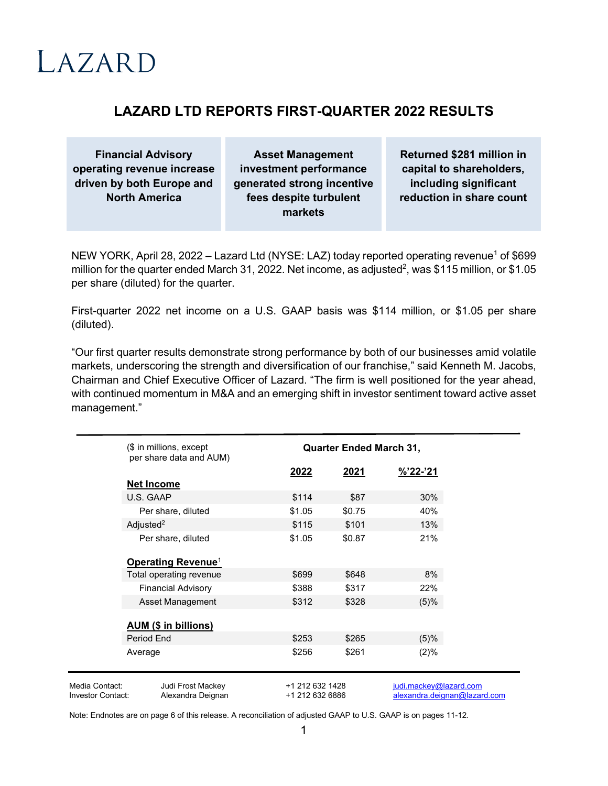# $LAZARD$

## **LAZARD LTD REPORTS FIRST-QUARTER 2022 RESULTS**

**Financial Advisory operating revenue increase driven by both Europe and North America**

**Asset Management investment performance generated strong incentive fees despite turbulent markets**

**Returned \$281 million in capital to shareholders, including significant reduction in share count**

NEW YORK, April 28, 2022 – Lazard Ltd (NYSE: LAZ) today reported operating revenue<sup>1</sup> of \$699 million for the quarter ended March 31, 2022. Net income, as adjusted<sup>2</sup>, was \$115 million, or \$1.05 per share (diluted) for the quarter.

First-quarter 2022 net income on a U.S. GAAP basis was \$114 million, or \$1.05 per share (diluted).

"Our first quarter results demonstrate strong performance by both of our businesses amid volatile markets, underscoring the strength and diversification of our franchise," said Kenneth M. Jacobs, Chairman and Chief Executive Officer of Lazard. "The firm is well positioned for the year ahead, with continued momentum in M&A and an emerging shift in investor sentiment toward active asset management."

|                          | $$$ in millions, except<br>per share data and AUM) | <b>Quarter Ended March 31,</b> |        |                              |
|--------------------------|----------------------------------------------------|--------------------------------|--------|------------------------------|
|                          |                                                    | 2022                           | 2021   | $\frac{1}{2}$ 22-'21         |
|                          | <b>Net Income</b>                                  |                                |        |                              |
|                          | U.S. GAAP                                          | \$114                          | \$87   | 30%                          |
|                          | Per share, diluted                                 | \$1.05                         | \$0.75 | 40%                          |
|                          | Adjusted <sup>2</sup>                              | \$115                          | \$101  | 13%                          |
|                          | Per share, diluted                                 | \$1.05                         | \$0.87 | 21%                          |
|                          | Operating Revenue <sup>1</sup>                     |                                |        |                              |
|                          | Total operating revenue                            | \$699                          | \$648  | 8%                           |
|                          | <b>Financial Advisory</b>                          | \$388                          | \$317  | 22%                          |
|                          | Asset Management                                   | \$312                          | \$328  | (5)%                         |
|                          | <b>AUM (\$ in billions)</b>                        |                                |        |                              |
|                          | Period End                                         | \$253                          | \$265  | (5)%                         |
|                          | Average                                            | \$256                          | \$261  | (2)%                         |
| Media Contact:           | Judi Frost Mackey                                  | +1 212 632 1428                |        | judi.mackey@lazard.com       |
| <b>Investor Contact:</b> | Alexandra Deignan                                  | +1 212 632 6886                |        | alexandra.deignan@lazard.com |

Note: Endnotes are on page 6 of this release. A reconciliation of adjusted GAAP to U.S. GAAP is on pages 11-12.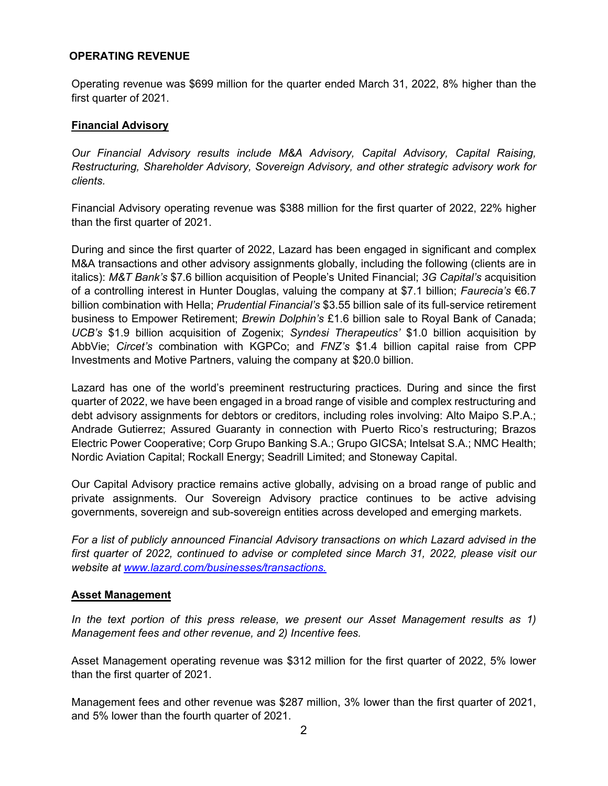#### **OPERATING REVENUE**

Operating revenue was \$699 million for the quarter ended March 31, 2022, 8% higher than the first quarter of 2021.

#### **Financial Advisory**

*Our Financial Advisory results include M&A Advisory, Capital Advisory, Capital Raising, Restructuring, Shareholder Advisory, Sovereign Advisory, and other strategic advisory work for clients.* 

Financial Advisory operating revenue was \$388 million for the first quarter of 2022, 22% higher than the first quarter of 2021.

During and since the first quarter of 2022, Lazard has been engaged in significant and complex M&A transactions and other advisory assignments globally, including the following (clients are in italics): *M&T Bank's* \$7.6 billion acquisition of People's United Financial; *3G Capital's* acquisition of a controlling interest in Hunter Douglas, valuing the company at \$7.1 billion; *Faurecia's* €6.7 billion combination with Hella; *Prudential Financial's* \$3.55 billion sale of its full-service retirement business to Empower Retirement; *Brewin Dolphin's* £1.6 billion sale to Royal Bank of Canada; *UCB's* \$1.9 billion acquisition of Zogenix; *Syndesi Therapeutics'* \$1.0 billion acquisition by AbbVie; *Circet's* combination with KGPCo; and *FNZ's* \$1.4 billion capital raise from CPP Investments and Motive Partners, valuing the company at \$20.0 billion.

Lazard has one of the world's preeminent restructuring practices. During and since the first quarter of 2022, we have been engaged in a broad range of visible and complex restructuring and debt advisory assignments for debtors or creditors, including roles involving: Alto Maipo S.P.A.; Andrade Gutierrez; Assured Guaranty in connection with Puerto Rico's restructuring; Brazos Electric Power Cooperative; Corp Grupo Banking S.A.; Grupo GICSA; Intelsat S.A.; NMC Health; Nordic Aviation Capital; Rockall Energy; Seadrill Limited; and Stoneway Capital.

Our Capital Advisory practice remains active globally, advising on a broad range of public and private assignments. Our Sovereign Advisory practice continues to be active advising governments, sovereign and sub-sovereign entities across developed and emerging markets.

*For a list of publicly announced Financial Advisory transactions on which Lazard advised in the first quarter of 2022, continued to advise or completed since March 31, 2022, please visit our website at [www.lazard.com/businesses/transactions.](https://www.lazard.com/businesses/transactions/)*

#### **Asset Management**

*In the text portion of this press release, we present our Asset Management results as 1) Management fees and other revenue, and 2) Incentive fees.*

Asset Management operating revenue was \$312 million for the first quarter of 2022, 5% lower than the first quarter of 2021.

Management fees and other revenue was \$287 million, 3% lower than the first quarter of 2021, and 5% lower than the fourth quarter of 2021.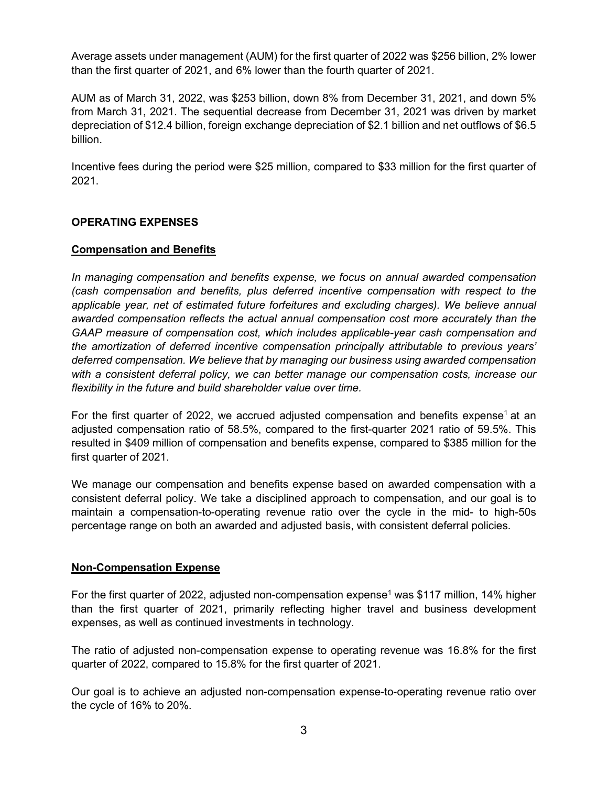Average assets under management (AUM) for the first quarter of 2022 was \$256 billion, 2% lower than the first quarter of 2021, and 6% lower than the fourth quarter of 2021.

AUM as of March 31, 2022, was \$253 billion, down 8% from December 31, 2021, and down 5% from March 31, 2021. The sequential decrease from December 31, 2021 was driven by market depreciation of \$12.4 billion, foreign exchange depreciation of \$2.1 billion and net outflows of \$6.5 billion.

Incentive fees during the period were \$25 million, compared to \$33 million for the first quarter of 2021.

## **OPERATING EXPENSES**

## **Compensation and Benefits**

*In managing compensation and benefits expense, we focus on annual awarded compensation (cash compensation and benefits, plus deferred incentive compensation with respect to the applicable year, net of estimated future forfeitures and excluding charges). We believe annual awarded compensation reflects the actual annual compensation cost more accurately than the GAAP measure of compensation cost, which includes applicable-year cash compensation and the amortization of deferred incentive compensation principally attributable to previous years' deferred compensation. We believe that by managing our business using awarded compensation with a consistent deferral policy, we can better manage our compensation costs, increase our flexibility in the future and build shareholder value over time.* 

For the first quarter of 2022, we accrued adjusted compensation and benefits expense<sup>1</sup> at an adjusted compensation ratio of 58.5%, compared to the first-quarter 2021 ratio of 59.5%. This resulted in \$409 million of compensation and benefits expense, compared to \$385 million for the first quarter of 2021.

We manage our compensation and benefits expense based on awarded compensation with a consistent deferral policy. We take a disciplined approach to compensation, and our goal is to maintain a compensation-to-operating revenue ratio over the cycle in the mid- to high-50s percentage range on both an awarded and adjusted basis, with consistent deferral policies*.*

## **Non-Compensation Expense**

For the first quarter of 2022, adjusted non-compensation expense<sup>1</sup> was \$117 million, 14% higher than the first quarter of 2021, primarily reflecting higher travel and business development expenses, as well as continued investments in technology.

The ratio of adjusted non-compensation expense to operating revenue was 16.8% for the first quarter of 2022, compared to 15.8% for the first quarter of 2021.

Our goal is to achieve an adjusted non-compensation expense-to-operating revenue ratio over the cycle of 16% to 20%.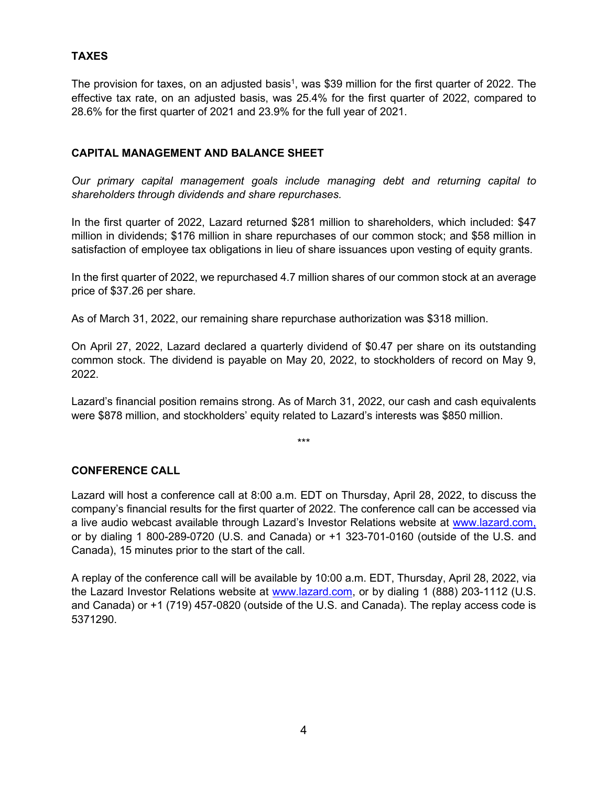## **TAXES**

The provision for taxes, on an adjusted basis<sup>1</sup>, was \$39 million for the first quarter of 2022. The effective tax rate, on an adjusted basis, was 25.4% for the first quarter of 2022, compared to 28.6% for the first quarter of 2021 and 23.9% for the full year of 2021.

## **CAPITAL MANAGEMENT AND BALANCE SHEET**

*Our primary capital management goals include managing debt and returning capital to shareholders through dividends and share repurchases.* 

In the first quarter of 2022, Lazard returned \$281 million to shareholders, which included: \$47 million in dividends; \$176 million in share repurchases of our common stock; and \$58 million in satisfaction of employee tax obligations in lieu of share issuances upon vesting of equity grants.

In the first quarter of 2022, we repurchased 4.7 million shares of our common stock at an average price of \$37.26 per share.

As of March 31, 2022, our remaining share repurchase authorization was \$318 million.

On April 27, 2022, Lazard declared a quarterly dividend of \$0.47 per share on its outstanding common stock. The dividend is payable on May 20, 2022, to stockholders of record on May 9, 2022.

Lazard's financial position remains strong. As of March 31, 2022, our cash and cash equivalents were \$878 million, and stockholders' equity related to Lazard's interests was \$850 million.

\*\*\*

## **CONFERENCE CALL**

Lazard will host a conference call at 8:00 a.m. EDT on Thursday, April 28, 2022, to discuss the company's financial results for the first quarter of 2022. The conference call can be accessed via a live audio webcast available through Lazard's Investor Relations website at [www.lazard.com,](http://www.lazard.com/) or by dialing 1 800-289-0720 (U.S. and Canada) or +1 323-701-0160 (outside of the U.S. and Canada), 15 minutes prior to the start of the call.

A replay of the conference call will be available by 10:00 a.m. EDT, Thursday, April 28, 2022, via the Lazard Investor Relations website at [www.lazard.com,](http://www.lazard.com/) or by dialing 1 (888) 203-1112 (U.S. and Canada) or +1 (719) 457-0820 (outside of the U.S. and Canada). The replay access code is 5371290.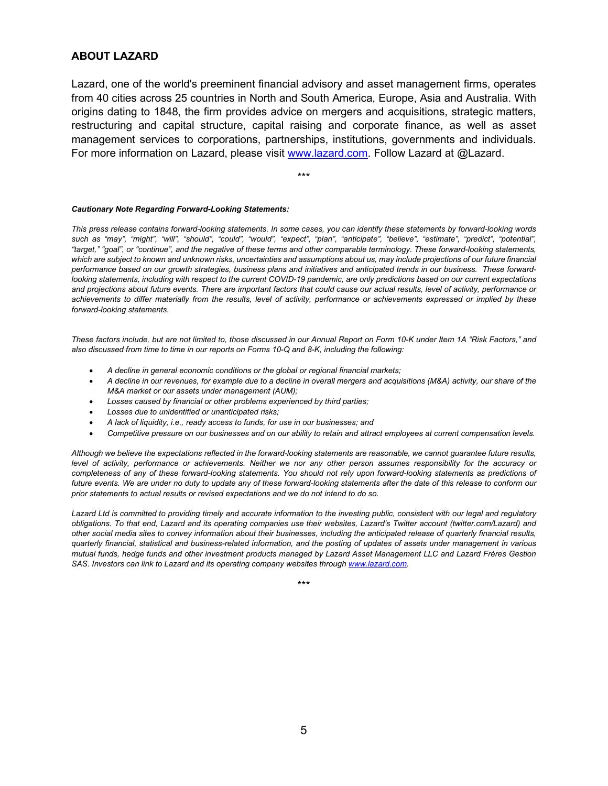#### **ABOUT LAZARD**

Lazard, one of the world's preeminent financial advisory and asset management firms, operates from 40 cities across 25 countries in North and South America, Europe, Asia and Australia. With origins dating to 1848, the firm provides advice on mergers and acquisitions, strategic matters, restructuring and capital structure, capital raising and corporate finance, as well as asset management services to corporations, partnerships, institutions, governments and individuals. For more information on Lazard, please visit [www.lazard.com.](http://www.lazard.com/) Follow Lazard at @Lazard.

\*\*\*

#### *Cautionary Note Regarding Forward-Looking Statements:*

*This press release contains forward-looking statements. In some cases, you can identify these statements by forward-looking words such as "may", "might", "will", "should", "could", "would", "expect", "plan", "anticipate", "believe", "estimate", "predict", "potential", "target," "goal", or "continue", and the negative of these terms and other comparable terminology. These forward-looking statements,*  which are subject to known and unknown risks, uncertainties and assumptions about us, may include projections of our future financial *performance based on our growth strategies, business plans and initiatives and anticipated trends in our business. These forwardlooking statements, including with respect to the current COVID-19 pandemic, are only predictions based on our current expectations and projections about future events. There are important factors that could cause our actual results, level of activity, performance or achievements to differ materially from the results, level of activity, performance or achievements expressed or implied by these forward-looking statements.*

*These factors include, but are not limited to, those discussed in our Annual Report on Form 10-K under Item 1A "Risk Factors," and also discussed from time to time in our reports on Forms 10-Q and 8-K, including the following:*

- *A decline in general economic conditions or the global or regional financial markets;*
- *A decline in our revenues, for example due to a decline in overall mergers and acquisitions (M&A) activity, our share of the M&A market or our assets under management (AUM);*
- *Losses caused by financial or other problems experienced by third parties;*
- *Losses due to unidentified or unanticipated risks;*
- *A lack of liquidity, i.e., ready access to funds, for use in our businesses; and*
- *Competitive pressure on our businesses and on our ability to retain and attract employees at current compensation levels.*

*Although we believe the expectations reflected in the forward-looking statements are reasonable, we cannot guarantee future results, level of activity, performance or achievements. Neither we nor any other person assumes responsibility for the accuracy or completeness of any of these forward-looking statements. You should not rely upon forward-looking statements as predictions of future events. We are under no duty to update any of these forward-looking statements after the date of this release to conform our prior statements to actual results or revised expectations and we do not intend to do so.*

Lazard Ltd is committed to providing timely and accurate information to the investing public, consistent with our legal and regulatory *obligations. To that end, Lazard and its operating companies use their websites, Lazard's Twitter account (twitter.com/Lazard) and other social media sites to convey information about their businesses, including the anticipated release of quarterly financial results, quarterly financial, statistical and business-related information, and the posting of updates of assets under management in various mutual funds, hedge funds and other investment products managed by Lazard Asset Management LLC and Lazard Frères Gestion SAS. Investors can link to Lazard and its operating company websites through [www.lazard.com.](http://www.lazard.com/)* 

\*\*\*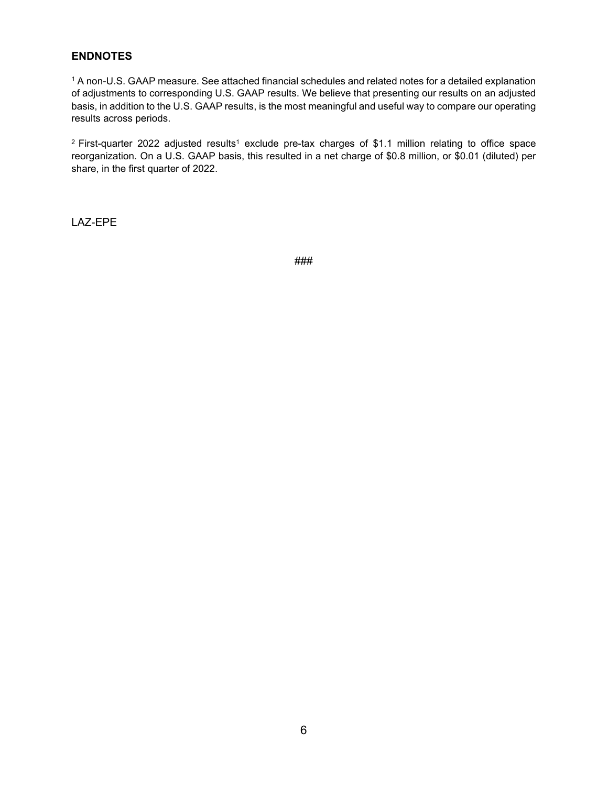## **ENDNOTES**

<sup>1</sup> A non-U.S. GAAP measure. See attached financial schedules and related notes for a detailed explanation of adjustments to corresponding U.S. GAAP results. We believe that presenting our results on an adjusted basis, in addition to the U.S. GAAP results, is the most meaningful and useful way to compare our operating results across periods.

<sup>2</sup> First-quarter 2022 adjusted results<sup>1</sup> exclude pre-tax charges of \$1.1 million relating to office space reorganization. On a U.S. GAAP basis, this resulted in a net charge of \$0.8 million, or \$0.01 (diluted) per share, in the first quarter of 2022.

LAZ-EPE

###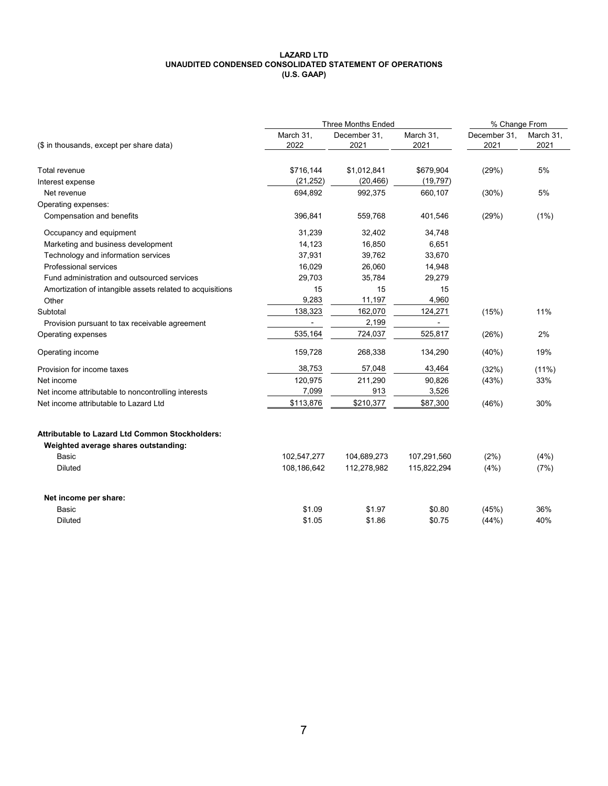#### **LAZARD LTD UNAUDITED CONDENSED CONSOLIDATED STATEMENT OF OPERATIONS (U.S. GAAP)**

|                                                                                                | Three Months Ended | % Change From        |                   |                      |                   |
|------------------------------------------------------------------------------------------------|--------------------|----------------------|-------------------|----------------------|-------------------|
| (\$ in thousands, except per share data)                                                       | March 31,<br>2022  | December 31,<br>2021 | March 31,<br>2021 | December 31,<br>2021 | March 31,<br>2021 |
| Total revenue                                                                                  | \$716,144          | \$1,012,841          | \$679,904         | (29%)                | 5%                |
| Interest expense                                                                               | (21, 252)          | (20, 466)            | (19, 797)         |                      |                   |
| Net revenue                                                                                    | 694,892            | 992,375              | 660,107           | (30%)                | 5%                |
| Operating expenses:                                                                            |                    |                      |                   |                      |                   |
| Compensation and benefits                                                                      | 396,841            | 559,768              | 401,546           | (29%)                | (1%)              |
| Occupancy and equipment                                                                        | 31,239             | 32,402               | 34,748            |                      |                   |
| Marketing and business development                                                             | 14,123             | 16,850               | 6,651             |                      |                   |
| Technology and information services                                                            | 37,931             | 39,762               | 33,670            |                      |                   |
| Professional services                                                                          | 16,029             | 26,060               | 14,948            |                      |                   |
| Fund administration and outsourced services                                                    | 29,703             | 35,784               | 29,279            |                      |                   |
| Amortization of intangible assets related to acquisitions                                      | 15                 | 15                   | 15                |                      |                   |
| Other                                                                                          | 9,283              | 11,197               | 4,960             |                      |                   |
| Subtotal                                                                                       | 138,323            | 162,070              | 124,271           | (15%)                | 11%               |
| Provision pursuant to tax receivable agreement                                                 |                    | 2,199                |                   |                      |                   |
| Operating expenses                                                                             | 535,164            | 724,037              | 525,817           | (26%)                | 2%                |
| Operating income                                                                               | 159,728            | 268,338              | 134,290           | $(40\%)$             | 19%               |
| Provision for income taxes                                                                     | 38,753             | 57,048               | 43,464            | (32%)                | $(11\%)$          |
| Net income                                                                                     | 120,975            | 211,290              | 90,826            | (43%)                | 33%               |
| Net income attributable to noncontrolling interests                                            | 7,099              | 913                  | 3,526             |                      |                   |
| Net income attributable to Lazard Ltd                                                          | \$113,876          | \$210,377            | \$87,300          | (46%)                | 30%               |
| <b>Attributable to Lazard Ltd Common Stockholders:</b><br>Weighted average shares outstanding: |                    |                      |                   |                      |                   |
| <b>Basic</b>                                                                                   | 102,547,277        | 104,689,273          | 107,291,560       | (2%)                 | (4%)              |
| <b>Diluted</b>                                                                                 | 108,186,642        | 112,278,982          | 115,822,294       | (4%)                 | (7%)              |
| Net income per share:                                                                          |                    |                      |                   |                      |                   |
| Basic                                                                                          | \$1.09             | \$1.97               | \$0.80            | (45%)                | 36%               |
| <b>Diluted</b>                                                                                 | \$1.05             | \$1.86               | \$0.75            | (44%)                | 40%               |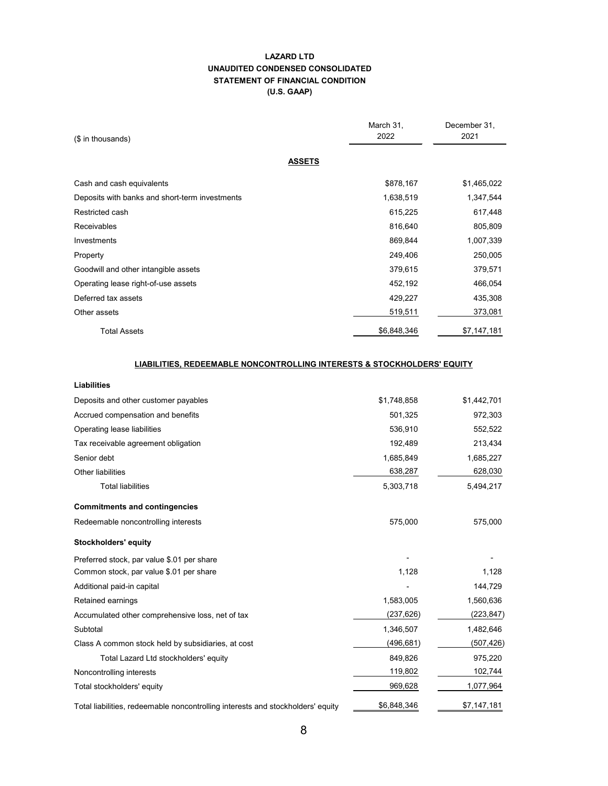#### **LAZARD LTD UNAUDITED CONDENSED CONSOLIDATED STATEMENT OF FINANCIAL CONDITION (U.S. GAAP)**

| (\$ in thousands)                              | March 31,<br>2022 | December 31,<br>2021 |
|------------------------------------------------|-------------------|----------------------|
| <b>ASSETS</b>                                  |                   |                      |
| Cash and cash equivalents                      | \$878,167         | \$1,465,022          |
| Deposits with banks and short-term investments | 1,638,519         | 1,347,544            |
| Restricted cash                                | 615,225           | 617,448              |
| <b>Receivables</b>                             | 816,640           | 805,809              |
| Investments                                    | 869,844           | 1,007,339            |
| Property                                       | 249,406           | 250,005              |
| Goodwill and other intangible assets           | 379,615           | 379,571              |
| Operating lease right-of-use assets            | 452,192           | 466,054              |
| Deferred tax assets                            | 429,227           | 435,308              |
| Other assets                                   | 519,511           | 373,081              |
| <b>Total Assets</b>                            | \$6,848,346       | \$7,147,181          |

#### **LIABILITIES, REDEEMABLE NONCONTROLLING INTERESTS & STOCKHOLDERS' EQUITY**

| \$1,748,858 | \$1,442,701 |
|-------------|-------------|
| 501,325     | 972,303     |
| 536.910     | 552,522     |
| 192,489     | 213,434     |
| 1,685,849   | 1,685,227   |
| 638,287     | 628,030     |
| 5,303,718   | 5,494,217   |
|             |             |
| 575.000     | 575,000     |
|             |             |
|             |             |
| 1,128       | 1,128       |
|             | 144,729     |
| 1,583,005   | 1,560,636   |
| (237, 626)  | (223, 847)  |
| 1,346,507   | 1,482,646   |
| (496, 681)  | (507,426)   |
| 849,826     | 975,220     |
| 119,802     | 102,744     |
| 969,628     | 1,077,964   |
| \$6,848,346 | \$7,147,181 |
|             |             |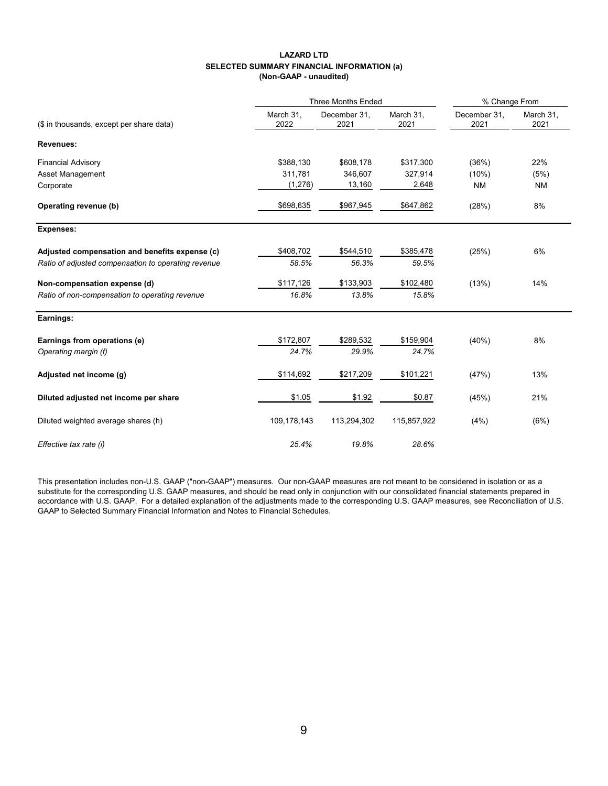#### **LAZARD LTD SELECTED SUMMARY FINANCIAL INFORMATION (a) (Non-GAAP - unaudited)**

|                                                     |                   | <b>Three Months Ended</b> | % Change From     |                      |                   |
|-----------------------------------------------------|-------------------|---------------------------|-------------------|----------------------|-------------------|
| (\$ in thousands, except per share data)            | March 31,<br>2022 | December 31,<br>2021      | March 31,<br>2021 | December 31.<br>2021 | March 31,<br>2021 |
| Revenues:                                           |                   |                           |                   |                      |                   |
| <b>Financial Advisory</b>                           | \$388,130         | \$608,178                 | \$317,300         | (36%)                | 22%               |
| Asset Management                                    | 311,781           | 346,607                   | 327,914           | (10%)                | (5%)              |
| Corporate                                           | (1,276)           | 13,160                    | 2,648             | <b>NM</b>            | <b>NM</b>         |
| Operating revenue (b)                               | \$698,635         | \$967,945                 | \$647,862         | (28%)                | 8%                |
| <b>Expenses:</b>                                    |                   |                           |                   |                      |                   |
| Adjusted compensation and benefits expense (c)      | \$408,702         | \$544,510                 | \$385,478         | (25%)                | 6%                |
| Ratio of adjusted compensation to operating revenue | 58.5%             | 56.3%                     | 59.5%             |                      |                   |
| Non-compensation expense (d)                        | \$117,126         | \$133,903                 | \$102,480         | (13%)                | 14%               |
| Ratio of non-compensation to operating revenue      | 16.8%             | 13.8%                     | 15.8%             |                      |                   |
| Earnings:                                           |                   |                           |                   |                      |                   |
| Earnings from operations (e)                        | \$172,807         | \$289,532                 | \$159,904         | (40%)                | 8%                |
| Operating margin (f)                                | 24.7%             | 29.9%                     | 24.7%             |                      |                   |
| Adjusted net income (g)                             | \$114,692         | \$217,209                 | \$101,221         | (47%)                | 13%               |
| Diluted adjusted net income per share               | \$1.05            | \$1.92                    | \$0.87            | (45%)                | 21%               |
| Diluted weighted average shares (h)                 | 109,178,143       | 113,294,302               | 115,857,922       | (4%)                 | (6%)              |
| Effective tax rate (i)                              | 25.4%             | 19.8%                     | 28.6%             |                      |                   |

This presentation includes non-U.S. GAAP ("non-GAAP") measures. Our non-GAAP measures are not meant to be considered in isolation or as a substitute for the corresponding U.S. GAAP measures, and should be read only in conjunction with our consolidated financial statements prepared in accordance with U.S. GAAP. For a detailed explanation of the adjustments made to the corresponding U.S. GAAP measures, see Reconciliation of U.S. GAAP to Selected Summary Financial Information and Notes to Financial Schedules.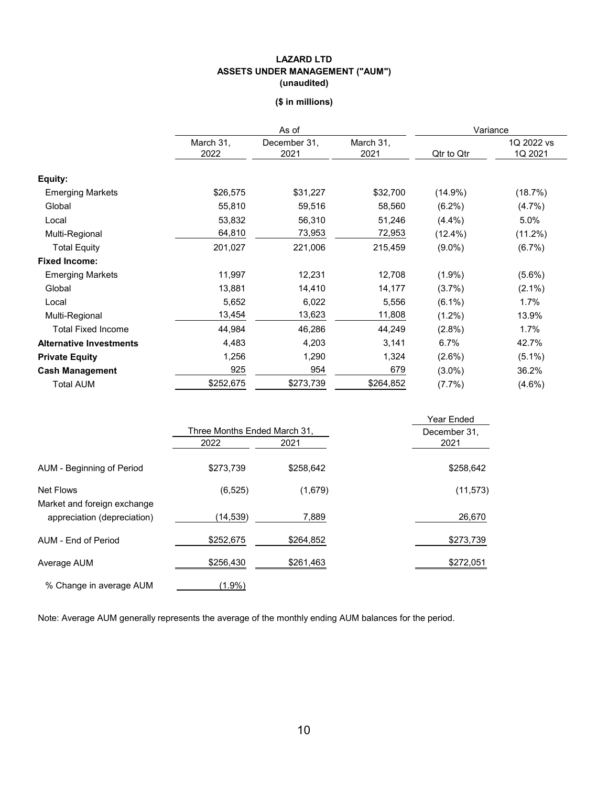#### **LAZARD LTD ASSETS UNDER MANAGEMENT ("AUM") (unaudited)**

## **(\$ in millions)**

|                                | As of             |                      |                   | Variance   |                       |  |
|--------------------------------|-------------------|----------------------|-------------------|------------|-----------------------|--|
|                                | March 31,<br>2022 | December 31,<br>2021 | March 31,<br>2021 | Qtr to Qtr | 1Q 2022 vs<br>1Q 2021 |  |
| Equity:                        |                   |                      |                   |            |                       |  |
| <b>Emerging Markets</b>        | \$26,575          | \$31,227             | \$32,700          | $(14.9\%)$ | (18.7%)               |  |
| Global                         | 55,810            | 59,516               | 58,560            | $(6.2\%)$  | (4.7%)                |  |
| Local                          | 53,832            | 56,310               | 51,246            | $(4.4\%)$  | 5.0%                  |  |
| Multi-Regional                 | 64,810            | 73,953               | 72,953            | $(12.4\%)$ | $(11.2\%)$            |  |
| <b>Total Equity</b>            | 201,027           | 221,006              | 215,459           | $(9.0\%)$  | (6.7%)                |  |
| <b>Fixed Income:</b>           |                   |                      |                   |            |                       |  |
| <b>Emerging Markets</b>        | 11,997            | 12,231               | 12,708            | $(1.9\%)$  | $(5.6\%)$             |  |
| Global                         | 13,881            | 14,410               | 14,177            | $(3.7\%)$  | $(2.1\%)$             |  |
| Local                          | 5,652             | 6,022                | 5,556             | $(6.1\%)$  | 1.7%                  |  |
| Multi-Regional                 | 13,454            | 13,623               | 11,808            | $(1.2\%)$  | 13.9%                 |  |
| <b>Total Fixed Income</b>      | 44,984            | 46,286               | 44,249            | $(2.8\%)$  | 1.7%                  |  |
| <b>Alternative Investments</b> | 4,483             | 4,203                | 3,141             | 6.7%       | 42.7%                 |  |
| <b>Private Equity</b>          | 1,256             | 1,290                | 1,324             | $(2.6\%)$  | $(5.1\%)$             |  |
| <b>Cash Management</b>         | 925               | 954                  | 679               | $(3.0\%)$  | 36.2%                 |  |
| <b>Total AUM</b>               | \$252,675         | \$273,739            | \$264,852         | $(7.7\%)$  | $(4.6\%)$             |  |

|                                                            |               |                              | Year Ended |
|------------------------------------------------------------|---------------|------------------------------|------------|
|                                                            |               | Three Months Ended March 31, |            |
|                                                            | 2022          | 2021                         | 2021       |
| AUM - Beginning of Period                                  | \$273,739     | \$258,642                    | \$258,642  |
| Net Flows                                                  | (6, 525)      | (1,679)                      | (11, 573)  |
| Market and foreign exchange<br>appreciation (depreciation) | (14,539)      | 7,889                        | 26,670     |
| AUM - End of Period                                        | \$252,675     | \$264,852                    | \$273,739  |
| Average AUM                                                | \$256,430     | \$261,463                    | \$272,051  |
| % Change in average AUM                                    | <u>(1.9%)</u> |                              |            |

Note: Average AUM generally represents the average of the monthly ending AUM balances for the period.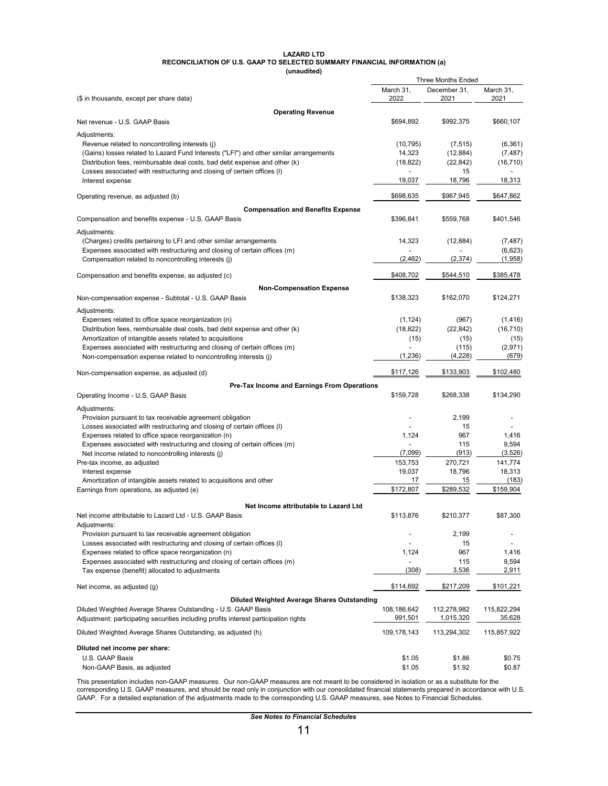#### **LAZARD LTD RECONCILIATION OF U.S. GAAP TO SELECTED SUMMARY FINANCIAL INFORMATION (a)**

**(unaudited)**

| (unauuneu)                                                                             |             |                           |             |
|----------------------------------------------------------------------------------------|-------------|---------------------------|-------------|
|                                                                                        |             | <b>Three Months Ended</b> |             |
|                                                                                        | March 31,   | December 31,              | March 31,   |
| (\$ in thousands, except per share data)                                               | 2022        | 2021                      | 2021        |
| <b>Operating Revenue</b>                                                               |             |                           |             |
| Net revenue - U.S. GAAP Basis                                                          | \$694,892   | \$992,375                 | \$660,107   |
|                                                                                        |             |                           |             |
| Adjustments:                                                                           |             |                           |             |
| Revenue related to noncontrolling interests (j)                                        | (10, 795)   | (7, 515)                  | (6, 361)    |
| (Gains) losses related to Lazard Fund Interests ("LFI") and other similar arrangements | 14,323      | (12, 884)                 | (7, 487)    |
| Distribution fees, reimbursable deal costs, bad debt expense and other (k)             | (18, 822)   | (22, 842)                 | (16, 710)   |
| Losses associated with restructuring and closing of certain offices (I)                |             | 15                        |             |
|                                                                                        | 19,037      | 18,796                    | 18,313      |
| Interest expense                                                                       |             |                           |             |
| Operating revenue, as adjusted (b)                                                     | \$698,635   | \$967,945                 | \$647,862   |
|                                                                                        |             |                           |             |
| <b>Compensation and Benefits Expense</b>                                               |             |                           |             |
| Compensation and benefits expense - U.S. GAAP Basis                                    | \$396,841   | \$559,768                 | \$401,546   |
|                                                                                        |             |                           |             |
| Adjustments:                                                                           |             |                           |             |
| (Charges) credits pertaining to LFI and other similar arrangements                     | 14,323      | (12, 884)                 | (7, 487)    |
| Expenses associated with restructuring and closing of certain offices (m)              |             |                           | (6,623)     |
| Compensation related to noncontrolling interests (j)                                   | (2, 462)    | (2, 374)                  | (1,958)     |
|                                                                                        |             |                           |             |
| Compensation and benefits expense, as adjusted (c)                                     | \$408,702   | \$544,510                 | \$385,478   |
|                                                                                        |             |                           |             |
| <b>Non-Compensation Expense</b>                                                        |             |                           |             |
| Non-compensation expense - Subtotal - U.S. GAAP Basis                                  | \$138,323   | \$162,070                 | \$124,271   |
| Adjustments:                                                                           |             |                           |             |
|                                                                                        |             | (967)                     |             |
| Expenses related to office space reorganization (n)                                    | (1, 124)    |                           | (1, 416)    |
| Distribution fees, reimbursable deal costs, bad debt expense and other (k)             | (18, 822)   | (22, 842)                 | (16, 710)   |
| Amortization of intangible assets related to acquisitions                              | (15)        | (15)                      | (15)        |
| Expenses associated with restructuring and closing of certain offices (m)              |             | (115)                     | (2,971)     |
| Non-compensation expense related to noncontrolling interests (j)                       | (1, 236)    | (4,228)                   | (679)       |
|                                                                                        |             |                           |             |
| Non-compensation expense, as adjusted (d)                                              | \$117,126   | \$133,903                 | \$102,480   |
|                                                                                        |             |                           |             |
| Pre-Tax Income and Earnings From Operations                                            |             |                           |             |
| Operating Income - U.S. GAAP Basis                                                     | \$159,728   | \$268,338                 | \$134,290   |
| Adjustments:                                                                           |             |                           |             |
| Provision pursuant to tax receivable agreement obligation                              |             | 2,199                     |             |
|                                                                                        |             |                           |             |
| Losses associated with restructuring and closing of certain offices (I)                |             | 15                        |             |
| Expenses related to office space reorganization (n)                                    | 1,124       | 967                       | 1,416       |
| Expenses associated with restructuring and closing of certain offices (m)              |             | 115                       | 9,594       |
| Net income related to noncontrolling interests (j)                                     | (7,099)     | (913)                     | (3, 526)    |
| Pre-tax income, as adjusted                                                            | 153,753     | 270,721                   | 141,774     |
| Interest expense                                                                       | 19,037      | 18,796                    | 18,313      |
| Amortization of intangible assets related to acquisitions and other                    | 17          | 15                        | (183)       |
| Earnings from operations, as adjusted (e)                                              | \$172,807   | \$289,532                 | \$159,904   |
|                                                                                        |             |                           |             |
| Net Income attributable to Lazard Ltd                                                  |             |                           |             |
|                                                                                        |             |                           |             |
| Net income attributable to Lazard Ltd - U.S. GAAP Basis                                | \$113,876   | \$210,377                 | \$87,300    |
| Adjustments:                                                                           |             |                           |             |
| Provision pursuant to tax receivable agreement obligation                              |             | 2,199                     |             |
| Losses associated with restructuring and closing of certain offices (I)                |             | 15                        |             |
| Expenses related to office space reorganization (n)                                    | 1,124       | 967                       | 1,416       |
| Expenses associated with restructuring and closing of certain offices (m)              |             | 115                       | 9,594       |
| Tax expense (benefit) allocated to adjustments                                         | (308)       | 3,536                     | 2,911       |
|                                                                                        |             |                           |             |
| Net income, as adjusted (g)                                                            | \$114,692   | \$217,209                 | \$101,221   |
|                                                                                        |             |                           |             |
| <b>Diluted Weighted Average Shares Outstanding</b>                                     |             |                           |             |
| Diluted Weighted Average Shares Outstanding - U.S. GAAP Basis                          | 108,186,642 | 112,278,982               | 115,822,294 |
| Adjustment: participating securities including profits interest participation rights   | 991,501     | 1,015,320                 | 35,628      |
|                                                                                        |             |                           |             |
| Diluted Weighted Average Shares Outstanding, as adjusted (h)                           | 109,178,143 | 113,294,302               | 115,857,922 |
|                                                                                        |             |                           |             |
| Diluted net income per share:                                                          |             |                           |             |
| U.S. GAAP Basis                                                                        | \$1.05      | \$1.86                    | \$0.75      |
| Non-GAAP Basis, as adjusted                                                            | \$1.05      | \$1.92                    | \$0.87      |
|                                                                                        |             |                           |             |

This presentation includes non-GAAP measures. Our non-GAAP measures are not meant to be considered in isolation or as a substitute for the corresponding U.S. GAAP measures, and should be read only in conjunction with our consolidated financial statements prepared in accordance with U.S. GAAP. For a detailed explanation of the adjustments made to the corresponding U.S. GAAP measures, see Notes to Financial Schedules.

*See Notes to Financial Schedules*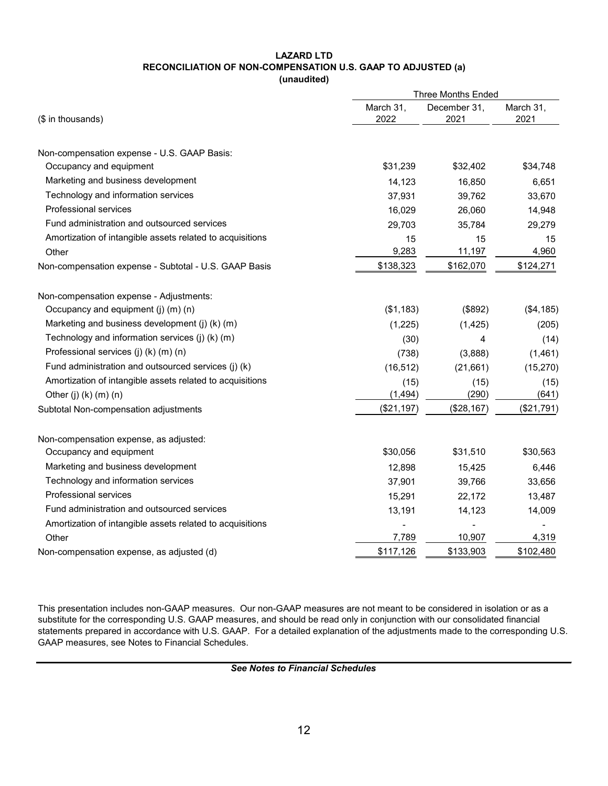#### **LAZARD LTD RECONCILIATION OF NON-COMPENSATION U.S. GAAP TO ADJUSTED (a) (unaudited)**

|                                                           | <b>Three Months Ended</b> |                      |                   |  |  |
|-----------------------------------------------------------|---------------------------|----------------------|-------------------|--|--|
| (\$ in thousands)                                         | March 31,<br>2022         | December 31,<br>2021 | March 31,<br>2021 |  |  |
| Non-compensation expense - U.S. GAAP Basis:               |                           |                      |                   |  |  |
| Occupancy and equipment                                   | \$31,239                  | \$32,402             | \$34,748          |  |  |
| Marketing and business development                        | 14,123                    | 16,850               | 6,651             |  |  |
| Technology and information services                       | 37,931                    | 39,762               | 33,670            |  |  |
| <b>Professional services</b>                              | 16,029                    | 26,060               | 14,948            |  |  |
| Fund administration and outsourced services               | 29,703                    | 35,784               | 29,279            |  |  |
| Amortization of intangible assets related to acquisitions | 15                        | 15                   | 15                |  |  |
| Other                                                     | 9,283                     | 11,197               | 4,960             |  |  |
| Non-compensation expense - Subtotal - U.S. GAAP Basis     | \$138,323                 | \$162,070            | \$124,271         |  |  |
| Non-compensation expense - Adjustments:                   |                           |                      |                   |  |  |
| Occupancy and equipment (j) (m) (n)                       | (\$1,183)                 | (\$892)              | (\$4, 185)        |  |  |
| Marketing and business development (j) (k) (m)            | (1,225)                   | (1, 425)             | (205)             |  |  |
| Technology and information services (j) (k) (m)           | (30)                      | 4                    | (14)              |  |  |
| Professional services (j) (k) (m) (n)                     | (738)                     | (3,888)              | (1, 461)          |  |  |
| Fund administration and outsourced services (j) (k)       | (16, 512)                 | (21,661)             | (15, 270)         |  |  |
| Amortization of intangible assets related to acquisitions | (15)                      | (15)                 | (15)              |  |  |
| Other (j) $(k)$ $(m)$ $(n)$                               | (1, 494)                  | (290)                | (641)             |  |  |
| Subtotal Non-compensation adjustments                     | (\$21,197)                | (\$28,167)           | (\$21,791)        |  |  |
| Non-compensation expense, as adjusted:                    |                           |                      |                   |  |  |
| Occupancy and equipment                                   | \$30,056                  | \$31,510             | \$30,563          |  |  |
| Marketing and business development                        | 12,898                    | 15,425               | 6,446             |  |  |
| Technology and information services                       | 37,901                    | 39,766               | 33,656            |  |  |
| <b>Professional services</b>                              | 15,291                    | 22,172               | 13,487            |  |  |
| Fund administration and outsourced services               | 13,191                    | 14,123               | 14,009            |  |  |
| Amortization of intangible assets related to acquisitions |                           |                      |                   |  |  |
| Other                                                     | 7,789                     | 10,907               | 4,319             |  |  |
| Non-compensation expense, as adjusted (d)                 | \$117,126                 | \$133,903            | \$102,480         |  |  |

This presentation includes non-GAAP measures. Our non-GAAP measures are not meant to be considered in isolation or as a substitute for the corresponding U.S. GAAP measures, and should be read only in conjunction with our consolidated financial statements prepared in accordance with U.S. GAAP. For a detailed explanation of the adjustments made to the corresponding U.S. GAAP measures, see Notes to Financial Schedules.

*See Notes to Financial Schedules*